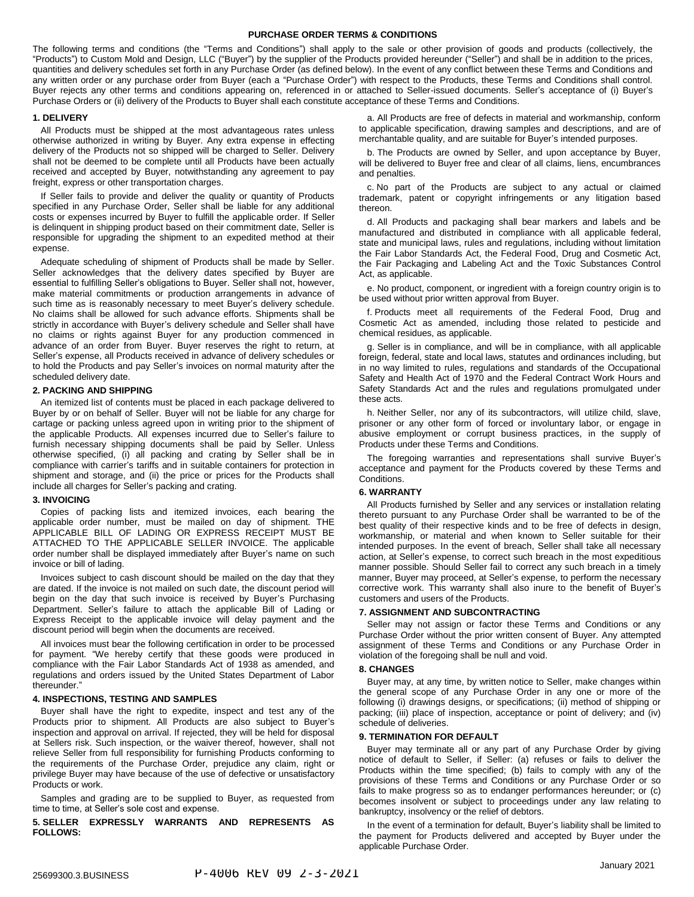### **PURCHASE ORDER TERMS & CONDITIONS**

The following terms and conditions (the "Terms and Conditions") shall apply to the sale or other provision of goods and products (collectively, the "Products") to Custom Mold and Design, LLC ("Buyer") by the supplier of the Products provided hereunder ("Seller") and shall be in addition to the prices, quantities and delivery schedules set forth in any Purchase Order (as defined below). In the event of any conflict between these Terms and Conditions and any written order or any purchase order from Buyer (each a "Purchase Order") with respect to the Products, these Terms and Conditions shall control. Buyer rejects any other terms and conditions appearing on, referenced in or attached to Seller-issued documents. Seller's acceptance of (i) Buyer's Purchase Orders or (ii) delivery of the Products to Buyer shall each constitute acceptance of these Terms and Conditions.

### **1. DELIVERY**

All Products must be shipped at the most advantageous rates unless otherwise authorized in writing by Buyer. Any extra expense in effecting delivery of the Products not so shipped will be charged to Seller. Delivery shall not be deemed to be complete until all Products have been actually received and accepted by Buyer, notwithstanding any agreement to pay freight, express or other transportation charges.

If Seller fails to provide and deliver the quality or quantity of Products specified in any Purchase Order, Seller shall be liable for any additional costs or expenses incurred by Buyer to fulfill the applicable order. If Seller is delinquent in shipping product based on their commitment date, Seller is responsible for upgrading the shipment to an expedited method at their expense.

Adequate scheduling of shipment of Products shall be made by Seller. Seller acknowledges that the delivery dates specified by Buyer are essential to fulfilling Seller's obligations to Buyer. Seller shall not, however, make material commitments or production arrangements in advance of such time as is reasonably necessary to meet Buyer's delivery schedule. No claims shall be allowed for such advance efforts. Shipments shall be strictly in accordance with Buyer's delivery schedule and Seller shall have no claims or rights against Buyer for any production commenced in advance of an order from Buyer. Buyer reserves the right to return, at Seller's expense, all Products received in advance of delivery schedules or to hold the Products and pay Seller's invoices on normal maturity after the scheduled delivery date.

### **2. PACKING AND SHIPPING**

An itemized list of contents must be placed in each package delivered to Buyer by or on behalf of Seller. Buyer will not be liable for any charge for cartage or packing unless agreed upon in writing prior to the shipment of the applicable Products. All expenses incurred due to Seller's failure to furnish necessary shipping documents shall be paid by Seller. Unless otherwise specified, (i) all packing and crating by Seller shall be in compliance with carrier's tariffs and in suitable containers for protection in shipment and storage, and (ii) the price or prices for the Products shall include all charges for Seller's packing and crating.

# **3. INVOICING**

Copies of packing lists and itemized invoices, each bearing the applicable order number, must be mailed on day of shipment. THE APPLICABLE BILL OF LADING OR EXPRESS RECEIPT MUST BE ATTACHED TO THE APPLICABLE SELLER INVOICE. The applicable order number shall be displayed immediately after Buyer's name on such invoice or bill of lading.

Invoices subject to cash discount should be mailed on the day that they are dated. If the invoice is not mailed on such date, the discount period will begin on the day that such invoice is received by Buyer's Purchasing Department. Seller's failure to attach the applicable Bill of Lading or Express Receipt to the applicable invoice will delay payment and the discount period will begin when the documents are received.

All invoices must bear the following certification in order to be processed for payment. "We hereby certify that these goods were produced in compliance with the Fair Labor Standards Act of 1938 as amended, and regulations and orders issued by the United States Department of Labor thereunder."

# **4. INSPECTIONS, TESTING AND SAMPLES**

Buyer shall have the right to expedite, inspect and test any of the Products prior to shipment. All Products are also subject to Buyer's inspection and approval on arrival. If rejected, they will be held for disposal at Sellers risk. Such inspection, or the waiver thereof, however, shall not relieve Seller from full responsibility for furnishing Products conforming to the requirements of the Purchase Order, prejudice any claim, right or privilege Buyer may have because of the use of defective or unsatisfactory Products or work.

Samples and grading are to be supplied to Buyer, as requested from time to time, at Seller's sole cost and expense.

**5. SELLER EXPRESSLY WARRANTS AND REPRESENTS AS FOLLOWS:**

a. All Products are free of defects in material and workmanship, conform to applicable specification, drawing samples and descriptions, and are of merchantable quality, and are suitable for Buyer's intended purposes.

b. The Products are owned by Seller, and upon acceptance by Buyer, will be delivered to Buyer free and clear of all claims, liens, encumbrances and penalties.

c. No part of the Products are subject to any actual or claimed trademark, patent or copyright infringements or any litigation based thereon.

d. All Products and packaging shall bear markers and labels and be manufactured and distributed in compliance with all applicable federal, state and municipal laws, rules and regulations, including without limitation the Fair Labor Standards Act, the Federal Food, Drug and Cosmetic Act, the Fair Packaging and Labeling Act and the Toxic Substances Control Act, as applicable.

e. No product, component, or ingredient with a foreign country origin is to be used without prior written approval from Buyer.

f. Products meet all requirements of the Federal Food, Drug and Cosmetic Act as amended, including those related to pesticide and chemical residues, as applicable.

g. Seller is in compliance, and will be in compliance, with all applicable foreign, federal, state and local laws, statutes and ordinances including, but in no way limited to rules, regulations and standards of the Occupational Safety and Health Act of 1970 and the Federal Contract Work Hours and Safety Standards Act and the rules and regulations promulgated under these acts.

h. Neither Seller, nor any of its subcontractors, will utilize child, slave, prisoner or any other form of forced or involuntary labor, or engage in abusive employment or corrupt business practices, in the supply of Products under these Terms and Conditions.

The foregoing warranties and representations shall survive Buyer's acceptance and payment for the Products covered by these Terms and **Conditions** 

# **6. WARRANTY**

All Products furnished by Seller and any services or installation relating thereto pursuant to any Purchase Order shall be warranted to be of the best quality of their respective kinds and to be free of defects in design, workmanship, or material and when known to Seller suitable for their intended purposes. In the event of breach, Seller shall take all necessary action, at Seller's expense, to correct such breach in the most expeditious manner possible. Should Seller fail to correct any such breach in a timely manner, Buyer may proceed, at Seller's expense, to perform the necessary corrective work. This warranty shall also inure to the benefit of Buyer's customers and users of the Products.

### **7. ASSIGNMENT AND SUBCONTRACTING**

Seller may not assign or factor these Terms and Conditions or any Purchase Order without the prior written consent of Buyer. Any attempted assignment of these Terms and Conditions or any Purchase Order in violation of the foregoing shall be null and void.

#### **8. CHANGES**

Buyer may, at any time, by written notice to Seller, make changes within the general scope of any Purchase Order in any one or more of the following (i) drawings designs, or specifications; (ii) method of shipping or packing; (iii) place of inspection, acceptance or point of delivery; and (iv) schedule of deliveries.

# **9. TERMINATION FOR DEFAULT**

Buyer may terminate all or any part of any Purchase Order by giving notice of default to Seller, if Seller: (a) refuses or fails to deliver the Products within the time specified; (b) fails to comply with any of the provisions of these Terms and Conditions or any Purchase Order or so fails to make progress so as to endanger performances hereunder; or (c) becomes insolvent or subject to proceedings under any law relating to bankruptcy, insolvency or the relief of debtors.

In the event of a termination for default, Buyer's liability shall be limited to the payment for Products delivered and accepted by Buyer under the applicable Purchase Order.